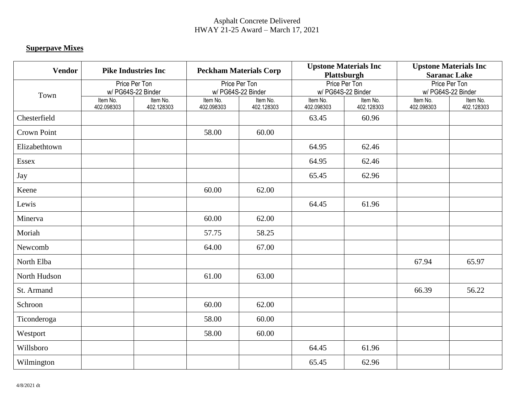## Asphalt Concrete Delivered HWAY 21-25 Award – March 17, 2021

## **Superpave Mixes**

| <b>Vendor</b>      | <b>Pike Industries Inc</b>          |                        | <b>Peckham Materials Corp</b><br>Price Per Ton<br>w/ PG64S-22 Binder |                        | <b>Upstone Materials Inc</b><br>Plattsburgh |                        | <b>Upstone Materials Inc</b><br><b>Saranac Lake</b> |                        |  |
|--------------------|-------------------------------------|------------------------|----------------------------------------------------------------------|------------------------|---------------------------------------------|------------------------|-----------------------------------------------------|------------------------|--|
| Town               | Price Per Ton<br>w/ PG64S-22 Binder |                        |                                                                      |                        | Price Per Ton<br>w/ PG64S-22 Binder         |                        | Price Per Ton<br>w/ PG64S-22 Binder                 |                        |  |
|                    | Item No.<br>402.098303              | Item No.<br>402.128303 | Item No.<br>402.098303                                               | Item No.<br>402.128303 | Item No.<br>402.098303                      | Item No.<br>402.128303 | Item No.<br>402.098303                              | Item No.<br>402.128303 |  |
| Chesterfield       |                                     |                        |                                                                      |                        | 63.45                                       | 60.96                  |                                                     |                        |  |
| <b>Crown Point</b> |                                     |                        | 58.00                                                                | 60.00                  |                                             |                        |                                                     |                        |  |
| Elizabethtown      |                                     |                        |                                                                      |                        | 64.95                                       | 62.46                  |                                                     |                        |  |
| Essex              |                                     |                        |                                                                      |                        | 64.95                                       | 62.46                  |                                                     |                        |  |
| Jay                |                                     |                        |                                                                      |                        | 65.45                                       | 62.96                  |                                                     |                        |  |
| Keene              |                                     |                        | 60.00                                                                | 62.00                  |                                             |                        |                                                     |                        |  |
| Lewis              |                                     |                        |                                                                      |                        | 64.45                                       | 61.96                  |                                                     |                        |  |
| Minerva            |                                     |                        | 60.00                                                                | 62.00                  |                                             |                        |                                                     |                        |  |
| Moriah             |                                     |                        | 57.75                                                                | 58.25                  |                                             |                        |                                                     |                        |  |
| Newcomb            |                                     |                        | 64.00                                                                | 67.00                  |                                             |                        |                                                     |                        |  |
| North Elba         |                                     |                        |                                                                      |                        |                                             |                        | 67.94                                               | 65.97                  |  |
| North Hudson       |                                     |                        | 61.00                                                                | 63.00                  |                                             |                        |                                                     |                        |  |
| St. Armand         |                                     |                        |                                                                      |                        |                                             |                        | 66.39                                               | 56.22                  |  |
| Schroon            |                                     |                        | 60.00                                                                | 62.00                  |                                             |                        |                                                     |                        |  |
| Ticonderoga        |                                     |                        | 58.00                                                                | 60.00                  |                                             |                        |                                                     |                        |  |
| Westport           |                                     |                        | 58.00                                                                | 60.00                  |                                             |                        |                                                     |                        |  |
| Willsboro          |                                     |                        |                                                                      |                        | 64.45                                       | 61.96                  |                                                     |                        |  |
| Wilmington         |                                     |                        |                                                                      |                        | 65.45                                       | 62.96                  |                                                     |                        |  |